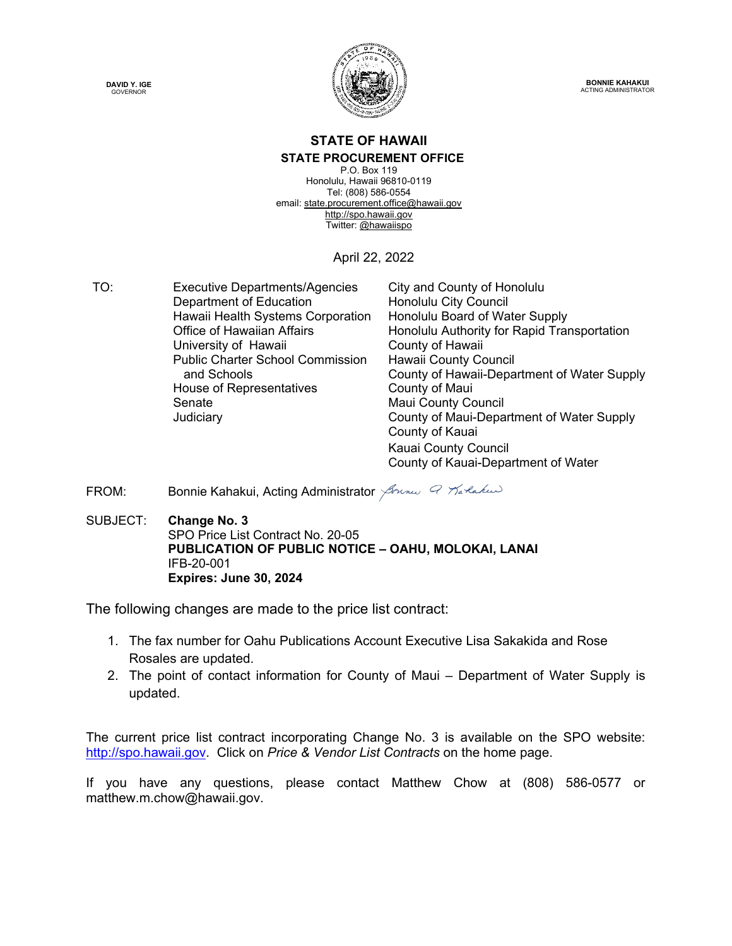



**BONNIE KAHAKUI** ACTING ADMINISTRATOR

#### **STATE OF HAWAII STATE PROCUREMENT OFFICE**

P.O. Box 119 Honolulu, Hawaii 96810-0119 Tel: (808) 586-0554 email[: state.procurement.office@hawaii.gov](mailto:state.procurement.office@hawaii.gov) [http://spo.hawaii.gov](http://spo.hawaii.gov/) Twitter: [@hawaiispo](https://twitter.com/hawaiispo)

April 22, 2022

TO: Executive Departments/Agencies City and County of Honolulu<br>Department of Education Honolulu City Council Department of Education<br>Hawaii Health Systems Corporation Honolulu Board of Water Supply Hawaii Health Systems Corporation<br>Office of Hawaiian Affairs Honolulu Authority for Rapid Transportation University of Hawaii **County of Hawaii** Public Charter School Commission and Schools Hawaii County Council County of Hawaii-Department of Water Supply House of Representatives **County of Maui** Senate Maui County Council Judiciary County of Maui-Department of Water Supply County of Kauai Kauai County Council

County of Kauai-Department of Water

FROM: Bonnie Kahakui, Acting Administrator *Johnson Q Tartakud* 

SUBJECT: **Change No. 3** SPO Price List Contract No. 20-05  **PUBLICATION OF PUBLIC NOTICE – OAHU, MOLOKAI, LANAI** IFB-20-001  **Expires: June 30, 2024**

The following changes are made to the price list contract:

- 1. The fax number for Oahu Publications Account Executive Lisa Sakakida and Rose Rosales are updated.
- 2. The point of contact information for County of Maui Department of Water Supply is updated.

The current price list contract incorporating Change No. 3 is available on the SPO website: [http://spo.hawaii.gov.](http://spo.hawaii.gov/) Click on *Price & Vendor List Contracts* on the home page.

If you have any questions, please contact Matthew Chow at (808) 586-0577 or matthew.m.chow@hawaii.gov.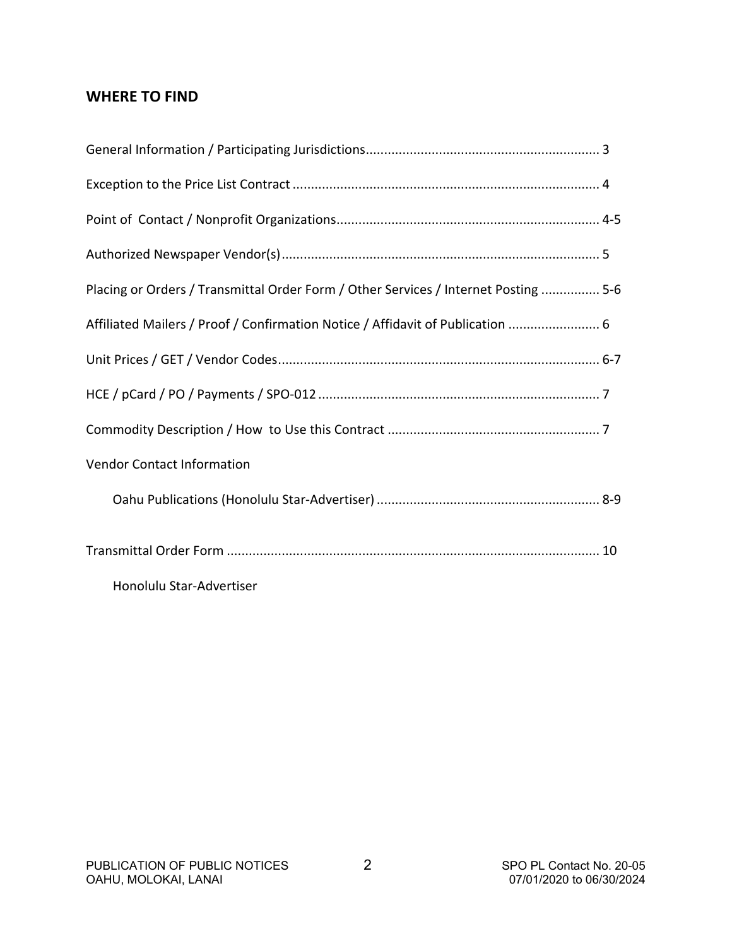# **WHERE TO FIND**

| Placing or Orders / Transmittal Order Form / Other Services / Internet Posting  5-6 |  |
|-------------------------------------------------------------------------------------|--|
| Affiliated Mailers / Proof / Confirmation Notice / Affidavit of Publication  6      |  |
|                                                                                     |  |
|                                                                                     |  |
|                                                                                     |  |
| Vendor Contact Information                                                          |  |
|                                                                                     |  |
|                                                                                     |  |
| Honolulu Star-Advertiser                                                            |  |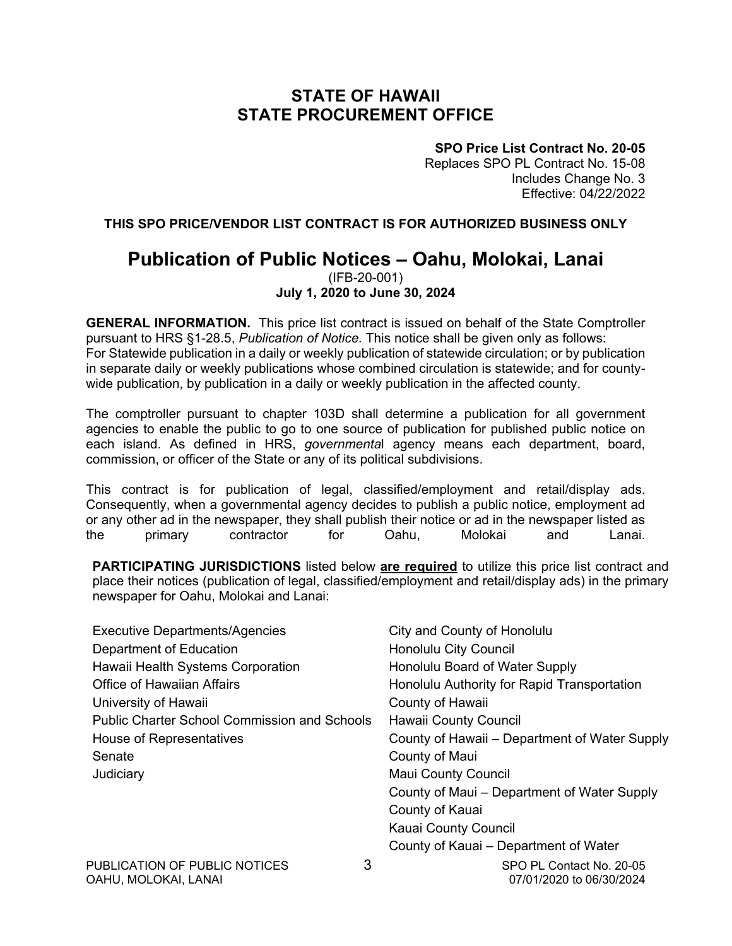# **STATE OF HAWAII STATE PROCUREMENT OFFICE**

**SPO Price List Contract No. 20-05**

Replaces SPO PL Contract No. 15-08 Includes Change No. 3 Effective: 04/22/2022

**THIS SPO PRICE/VENDOR LIST CONTRACT IS FOR AUTHORIZED BUSINESS ONLY**

## **Publication of Public Notices – Oahu, Molokai, Lanai** (IFB-20-001)

### **July 1, 2020 to June 30, 2024**

**GENERAL INFORMATION.** This price list contract is issued on behalf of the State Comptroller pursuant to HRS §1-28.5, *Publication of Notice.* This notice shall be given only as follows: For Statewide publication in a daily or weekly publication of statewide circulation; or by publication in separate daily or weekly publications whose combined circulation is statewide; and for countywide publication, by publication in a daily or weekly publication in the affected county.

The comptroller pursuant to chapter 103D shall determine a publication for all government agencies to enable the public to go to one source of publication for published public notice on each island. As defined in HRS, *governmenta*l agency means each department, board, commission, or officer of the State or any of its political subdivisions.

This contract is for publication of legal, classified/employment and retail/display ads. Consequently, when a governmental agency decides to publish a public notice, employment ad or any other ad in the newspaper, they shall publish their notice or ad in the newspaper listed as the primary contractor for Oahu, Molokai and Lanai.

**PARTICIPATING JURISDICTIONS** listed below **are required** to utilize this price list contract and place their notices (publication of legal, classified/employment and retail/display ads) in the primary newspaper for Oahu, Molokai and Lanai:

| <b>Executive Departments/Agencies</b>               | City and County of Honolulu                   |
|-----------------------------------------------------|-----------------------------------------------|
| Department of Education                             | Honolulu City Council                         |
| Hawaii Health Systems Corporation                   | Honolulu Board of Water Supply                |
| <b>Office of Hawaiian Affairs</b>                   | Honolulu Authority for Rapid Transportation   |
| University of Hawaii                                | County of Hawaii                              |
| <b>Public Charter School Commission and Schools</b> | <b>Hawaii County Council</b>                  |
| House of Representatives                            | County of Hawaii – Department of Water Supply |
| Senate                                              | County of Maui                                |
| Judiciary                                           | <b>Maui County Council</b>                    |
|                                                     | County of Maui – Department of Water Supply   |
|                                                     | County of Kauai                               |
|                                                     | Kauai County Council                          |
|                                                     | County of Kauai – Department of Water         |
| 3<br>PUBLICATION OF PUBLIC NOTICES                  | SPO PL Contact No. 20-05                      |

OAHU, MOLOKAI, LANAI 07/01/2020 to 06/30/2024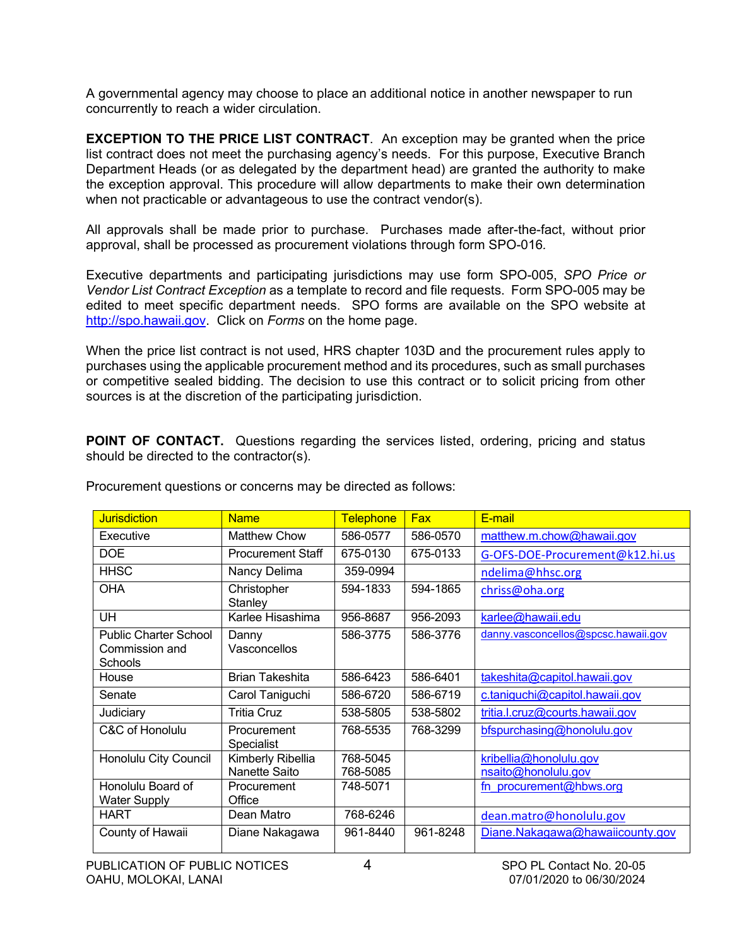A governmental agency may choose to place an additional notice in another newspaper to run concurrently to reach a wider circulation.

**EXCEPTION TO THE PRICE LIST CONTRACT**. An exception may be granted when the price list contract does not meet the purchasing agency's needs. For this purpose, Executive Branch Department Heads (or as delegated by the department head) are granted the authority to make the exception approval. This procedure will allow departments to make their own determination when not practicable or advantageous to use the contract vendor(s).

All approvals shall be made prior to purchase. Purchases made after-the-fact, without prior approval, shall be processed as procurement violations through form SPO-016*.*

Executive departments and participating jurisdictions may use form SPO-005, *SPO Price or Vendor List Contract Exception* as a template to record and file requests. Form SPO-005 may be edited to meet specific department needs. SPO forms are available on the SPO website at [http://spo.hawaii.gov.](http://spo.hawaii.gov/) Click on *Forms* on the home page.

When the price list contract is not used, HRS chapter 103D and the procurement rules apply to purchases using the applicable procurement method and its procedures, such as small purchases or competitive sealed bidding. The decision to use this contract or to solicit pricing from other sources is at the discretion of the participating jurisdiction.

**POINT OF CONTACT.** Questions regarding the services listed, ordering, pricing and status should be directed to the contractor(s).

| <b>Jurisdiction</b>                                       | <b>Name</b>                      | <b>Telephone</b> | <b>Fax</b> | E-mail                              |
|-----------------------------------------------------------|----------------------------------|------------------|------------|-------------------------------------|
| Executive                                                 | Matthew Chow                     | 586-0577         | 586-0570   | matthew.m.chow@hawaii.gov           |
| <b>DOE</b>                                                | <b>Procurement Staff</b>         | 675-0130         | 675-0133   | G-OFS-DOE-Procurement@k12.hi.us     |
| <b>HHSC</b>                                               | Nancy Delima                     | 359-0994         |            | ndelima@hhsc.org                    |
| <b>OHA</b>                                                | Christopher<br>Stanley           | 594-1833         | 594-1865   | chriss@oha.org                      |
| UH                                                        | Karlee Hisashima                 | 956-8687         | 956-2093   | karlee@hawaii.edu                   |
| <b>Public Charter School</b><br>Commission and<br>Schools | Danny<br>Vasconcellos            | 586-3775         | 586-3776   | danny.vasconcellos@spcsc.hawaii.gov |
| House                                                     | <b>Brian Takeshita</b>           | 586-6423         | 586-6401   | takeshita@capitol.hawaii.gov        |
| Senate                                                    | Carol Taniguchi                  | 586-6720         | 586-6719   | c.taniguchi@capitol.hawaii.gov      |
| Judiciary                                                 | <b>Tritia Cruz</b>               | 538-5805         | 538-5802   | tritia.l.cruz@courts.hawaii.gov     |
| C&C of Honolulu                                           | Procurement<br><b>Specialist</b> | 768-5535         | 768-3299   | bfspurchasing@honolulu.gov          |
| Honolulu City Council                                     | Kimberly Ribellia                | 768-5045         |            | kribellia@honolulu.gov              |
|                                                           | Nanette Saito                    | 768-5085         |            | nsaito@honolulu.gov                 |
| Honolulu Board of<br><b>Water Supply</b>                  | Procurement<br>Office            | 748-5071         |            | fn procurement@hbws.org             |
| <b>HART</b>                                               | Dean Matro                       | 768-6246         |            | dean.matro@honolulu.gov             |
| County of Hawaii                                          | Diane Nakagawa                   | 961-8440         | 961-8248   | Diane.Nakagawa@hawaiicounty.gov     |

Procurement questions or concerns may be directed as follows: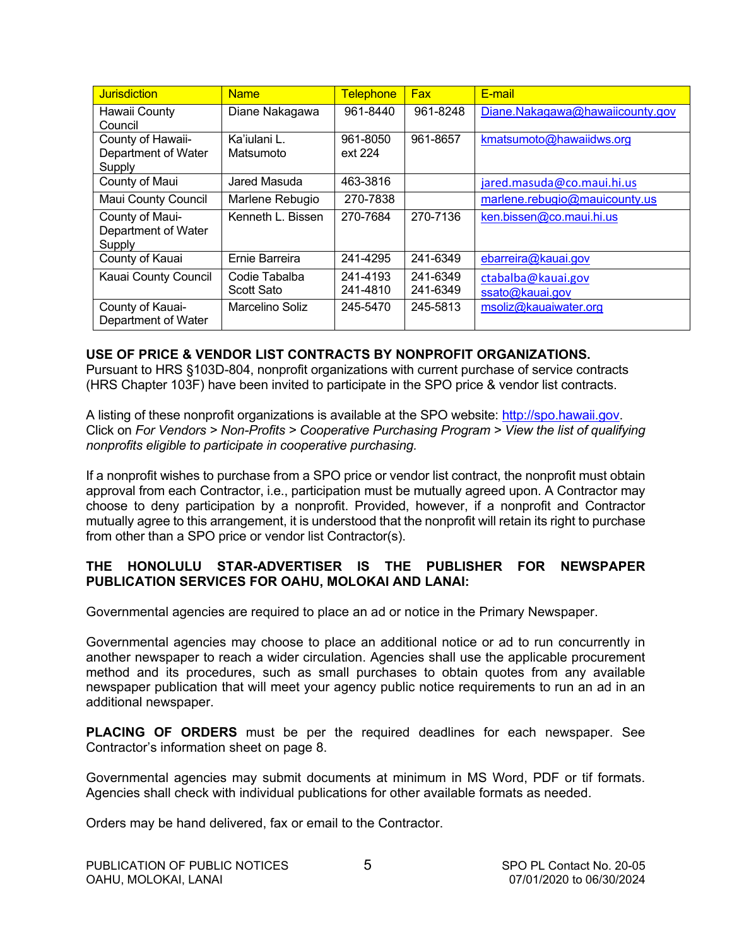| <b>Jurisdiction</b>           | <b>Name</b>       | Telephone | <b>Fax</b> | E-mail                          |
|-------------------------------|-------------------|-----------|------------|---------------------------------|
| Hawaii County                 | Diane Nakagawa    | 961-8440  | 961-8248   | Diane.Nakagawa@hawaiicounty.gov |
| Council                       |                   |           |            |                                 |
| County of Hawaii-             | Ka'iulani L.      | 961-8050  | 961-8657   | kmatsumoto@hawaiidws.org        |
| Department of Water           | Matsumoto         | ext 224   |            |                                 |
| Supply                        |                   |           |            |                                 |
| County of Maui                | Jared Masuda      | 463-3816  |            | jared.masuda@co.maui.hi.us      |
| Maui County Council           | Marlene Rebugio   | 270-7838  |            | marlene.rebugio@mauicounty.us   |
| County of Maui-               | Kenneth L. Bissen | 270-7684  | 270-7136   | ken.bissen@co.maui.hi.us        |
| Department of Water<br>Supply |                   |           |            |                                 |
| County of Kauai               | Ernie Barreira    | 241-4295  | 241-6349   | ebarreira@kauai.gov             |
| Kauai County Council          | Codie Tabalba     | 241-4193  | 241-6349   | ctabalba@kauai.gov              |
|                               | Scott Sato        | 241-4810  | 241-6349   | ssato@kauai.gov                 |
| County of Kauai-              | Marcelino Soliz   | 245-5470  | 245-5813   | msoliz@kauaiwater.org           |
| Department of Water           |                   |           |            |                                 |

#### **USE OF PRICE & VENDOR LIST CONTRACTS BY NONPROFIT ORGANIZATIONS.**

Pursuant to HRS §103D-804, nonprofit organizations with current purchase of service contracts (HRS Chapter 103F) have been invited to participate in the SPO price & vendor list contracts.

A listing of these nonprofit organizations is available at the SPO website: [http://spo.hawaii.gov.](http://spo.hawaii.gov/) Click on *For Vendors > Non-Profits > Cooperative Purchasing Program > View the list of qualifying nonprofits eligible to participate in cooperative purchasing.*

If a nonprofit wishes to purchase from a SPO price or vendor list contract, the nonprofit must obtain approval from each Contractor, i.e., participation must be mutually agreed upon. A Contractor may choose to deny participation by a nonprofit. Provided, however, if a nonprofit and Contractor mutually agree to this arrangement, it is understood that the nonprofit will retain its right to purchase from other than a SPO price or vendor list Contractor(s).

#### **THE HONOLULU STAR-ADVERTISER IS THE PUBLISHER FOR NEWSPAPER PUBLICATION SERVICES FOR OAHU, MOLOKAI AND LANAI:**

Governmental agencies are required to place an ad or notice in the Primary Newspaper.

Governmental agencies may choose to place an additional notice or ad to run concurrently in another newspaper to reach a wider circulation. Agencies shall use the applicable procurement method and its procedures, such as small purchases to obtain quotes from any available newspaper publication that will meet your agency public notice requirements to run an ad in an additional newspaper.

**PLACING OF ORDERS** must be per the required deadlines for each newspaper. See Contractor's information sheet on page 8.

Governmental agencies may submit documents at minimum in MS Word, PDF or tif formats. Agencies shall check with individual publications for other available formats as needed.

Orders may be hand delivered, fax or email to the Contractor.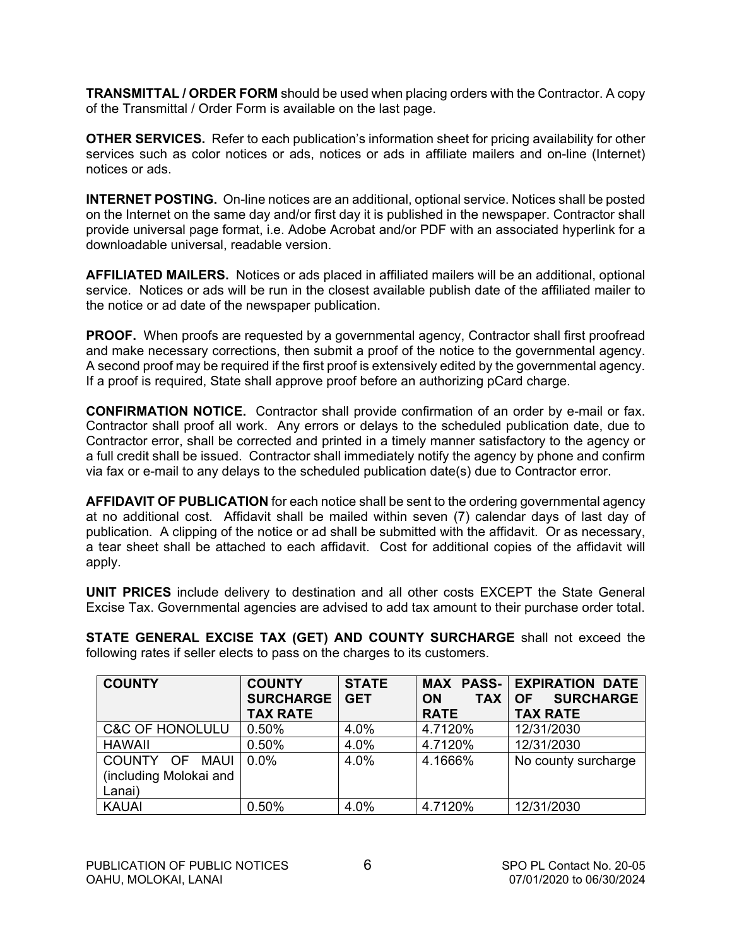**TRANSMITTAL / ORDER FORM** should be used when placing orders with the Contractor. A copy of the Transmittal / Order Form is available on the last page.

**OTHER SERVICES.** Refer to each publication's information sheet for pricing availability for other services such as color notices or ads, notices or ads in affiliate mailers and on-line (Internet) notices or ads.

**INTERNET POSTING.** On-line notices are an additional, optional service. Notices shall be posted on the Internet on the same day and/or first day it is published in the newspaper. Contractor shall provide universal page format, i.e. Adobe Acrobat and/or PDF with an associated hyperlink for a downloadable universal, readable version.

**AFFILIATED MAILERS.** Notices or ads placed in affiliated mailers will be an additional, optional service. Notices or ads will be run in the closest available publish date of the affiliated mailer to the notice or ad date of the newspaper publication.

**PROOF.** When proofs are requested by a governmental agency, Contractor shall first proofread and make necessary corrections, then submit a proof of the notice to the governmental agency. A second proof may be required if the first proof is extensively edited by the governmental agency. If a proof is required, State shall approve proof before an authorizing pCard charge.

**CONFIRMATION NOTICE.** Contractor shall provide confirmation of an order by e-mail or fax. Contractor shall proof all work. Any errors or delays to the scheduled publication date, due to Contractor error, shall be corrected and printed in a timely manner satisfactory to the agency or a full credit shall be issued. Contractor shall immediately notify the agency by phone and confirm via fax or e-mail to any delays to the scheduled publication date(s) due to Contractor error.

**AFFIDAVIT OF PUBLICATION** for each notice shall be sent to the ordering governmental agency at no additional cost. Affidavit shall be mailed within seven (7) calendar days of last day of publication. A clipping of the notice or ad shall be submitted with the affidavit. Or as necessary, a tear sheet shall be attached to each affidavit. Cost for additional copies of the affidavit will apply.

**UNIT PRICES** include delivery to destination and all other costs EXCEPT the State General Excise Tax. Governmental agencies are advised to add tax amount to their purchase order total.

**STATE GENERAL EXCISE TAX (GET) AND COUNTY SURCHARGE** shall not exceed the following rates if seller elects to pass on the charges to its customers.

| <b>COUNTY</b>              | <b>COUNTY</b>    | <b>STATE</b> |                         | <b>MAX PASS- EXPIRATION DATE</b> |
|----------------------------|------------------|--------------|-------------------------|----------------------------------|
|                            | <b>SURCHARGE</b> | <b>GET</b>   | <b>TAX</b><br><b>ON</b> | <b>SURCHARGE</b><br><b>OF</b>    |
|                            | <b>TAX RATE</b>  |              | <b>RATE</b>             | <b>TAX RATE</b>                  |
| <b>C&amp;C OF HONOLULU</b> | 0.50%            | 4.0%         | 4.7120%                 | 12/31/2030                       |
| <b>HAWAII</b>              | 0.50%            | 4.0%         | 4.7120%                 | 12/31/2030                       |
| COUNTY OF<br><b>MAUI</b>   | 0.0%             | 4.0%         | 4.1666%                 | No county surcharge              |
| (including Molokai and     |                  |              |                         |                                  |
| Lanai)                     |                  |              |                         |                                  |
| <b>KAUAI</b>               | 0.50%            | 4.0%         | 4.7120%                 | 12/31/2030                       |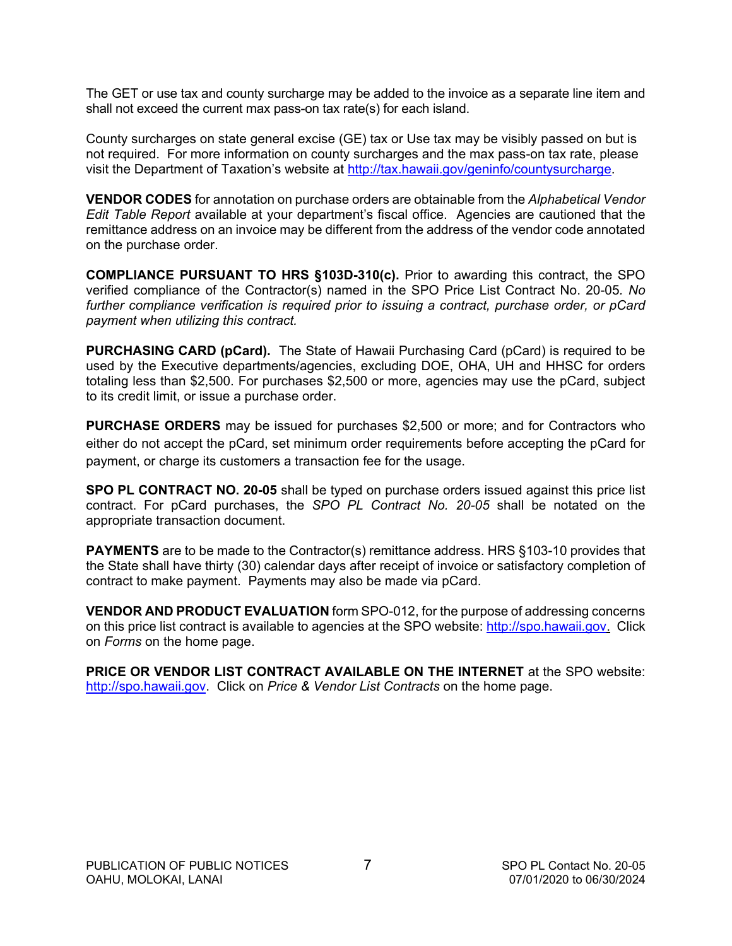The GET or use tax and county surcharge may be added to the invoice as a separate line item and shall not exceed the current max pass-on tax rate(s) for each island.

County surcharges on state general excise (GE) tax or Use tax may be visibly passed on but is not required. For more information on county surcharges and the max pass-on tax rate, please visit the Department of Taxation's website at [http://tax.hawaii.gov/geninfo/countysurcharge.](http://tax.hawaii.gov/geninfo/countysurcharge)

**VENDOR CODES** for annotation on purchase orders are obtainable from the *Alphabetical Vendor Edit Table Report* available at your department's fiscal office. Agencies are cautioned that the remittance address on an invoice may be different from the address of the vendor code annotated on the purchase order.

**COMPLIANCE PURSUANT TO HRS §103D-310(c).** Prior to awarding this contract, the SPO verified compliance of the Contractor(s) named in the SPO Price List Contract No. 20-05*. No further compliance verification is required prior to issuing a contract, purchase order, or pCard payment when utilizing this contract.*

**PURCHASING CARD (pCard).** The State of Hawaii Purchasing Card (pCard) is required to be used by the Executive departments/agencies, excluding DOE, OHA, UH and HHSC for orders totaling less than \$2,500. For purchases \$2,500 or more, agencies may use the pCard, subject to its credit limit, or issue a purchase order.

**PURCHASE ORDERS** may be issued for purchases \$2,500 or more; and for Contractors who either do not accept the pCard, set minimum order requirements before accepting the pCard for payment, or charge its customers a transaction fee for the usage.

**SPO PL CONTRACT NO. 20-05** shall be typed on purchase orders issued against this price list contract. For pCard purchases, the *SPO PL Contract No. 20-05* shall be notated on the appropriate transaction document.

**PAYMENTS** are to be made to the Contractor(s) remittance address. HRS §103-10 provides that the State shall have thirty (30) calendar days after receipt of invoice or satisfactory completion of contract to make payment. Payments may also be made via pCard.

**VENDOR AND PRODUCT EVALUATION** form SPO-012, for the purpose of addressing concerns on this price list contract is available to agencies at the SPO website: [http://spo.hawaii.gov.](http://spo.hawaii.gov/) Click on *Forms* on the home page.

**PRICE OR VENDOR LIST CONTRACT AVAILABLE ON THE INTERNET** at the SPO website: [http://spo.hawaii.gov.](http://spo.hawaii.gov/) Click on *Price & Vendor List Contracts* on the home page.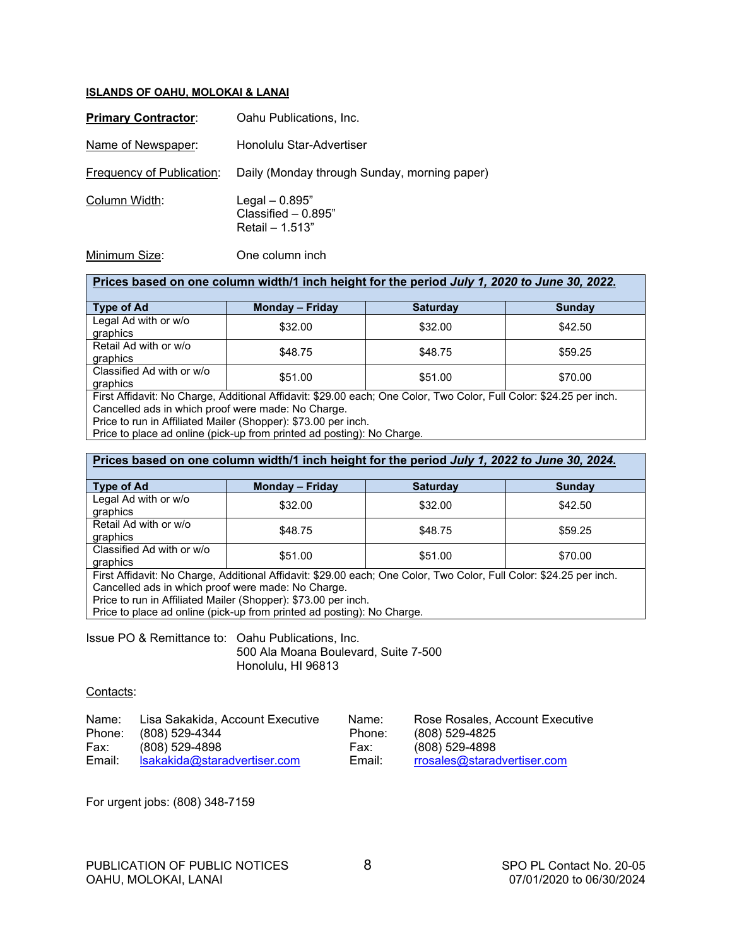#### **ISLANDS OF OAHU, MOLOKAI & LANAI**

| <b>Primary Contractor:</b> | Oahu Publications, Inc.                                      |
|----------------------------|--------------------------------------------------------------|
| Name of Newspaper:         | Honolulu Star-Advertiser                                     |
| Frequency of Publication:  | Daily (Monday through Sunday, morning paper)                 |
| Column Width:              | Legal $-0.895"$<br>Classified $-0.895"$<br>Retail $- 1.513"$ |
| Minimum Size:              | One column inch                                              |

| Prices based on one column width/1 inch height for the period July 1, 2020 to June 30, 2022.                       |         |         |         |  |  |
|--------------------------------------------------------------------------------------------------------------------|---------|---------|---------|--|--|
| <b>Type of Ad</b><br><b>Monday - Friday</b><br><b>Saturday</b><br><b>Sunday</b>                                    |         |         |         |  |  |
| Legal Ad with or w/o<br>graphics                                                                                   | \$32.00 | \$32.00 | \$42.50 |  |  |
| Retail Ad with or w/o<br>graphics                                                                                  | \$48.75 | \$48.75 | \$59.25 |  |  |
| Classified Ad with or w/o<br>graphics                                                                              | \$51.00 | \$51.00 | \$70.00 |  |  |
| First Affidavit: No Charge, Additional Affidavit: \$20.00 each: One Color, Two Color, Full Color: \$24.25 per inch |         |         |         |  |  |

First Affidavit: No Charge, Additional Affidavit: \$29.00 each; One Color, Two Color, Full Color: \$24.25 per inch. Cancelled ads in which proof were made: No Charge.

Price to run in Affiliated Mailer (Shopper): \$73.00 per inch.

Price to place ad online (pick-up from printed ad posting): No Charge.

#### **Prices based on one column width/1 inch height for the period** *July 1, 2022 to June 30, 2024***.**

| <b>Type of Ad</b>                                                                                                   | <b>Monday - Friday</b> | <b>Saturday</b> | <b>Sunday</b> |  |
|---------------------------------------------------------------------------------------------------------------------|------------------------|-----------------|---------------|--|
| Legal Ad with or w/o<br>graphics                                                                                    | \$32.00                | \$32.00         | \$42.50       |  |
| Retail Ad with or w/o<br>graphics                                                                                   | \$48.75                | \$48.75         | \$59.25       |  |
| Classified Ad with or w/o<br>graphics                                                                               | \$51.00                | \$51.00         | \$70.00       |  |
| First Affidavit: No Charge, Additional Affidavit: \$29.00 each; One Color, Two Color, Full Color: \$24.25 per inch. |                        |                 |               |  |

Cancelled ads in which proof were made: No Charge.

Price to run in Affiliated Mailer (Shopper): \$73.00 per inch.

Price to place ad online (pick-up from printed ad posting): No Charge.

Issue PO & Remittance to: Oahu Publications, Inc. 500 Ala Moana Boulevard, Suite 7-500 Honolulu, HI 96813

#### Contacts:

| Name:  | Lisa Sakakida, Account Executive | Name:  | Rose Rosales, Account Executive |
|--------|----------------------------------|--------|---------------------------------|
|        | Phone: (808) 529-4344            | Phone: | (808) 529-4825                  |
| Fax:   | (808) 529-4898                   | Fax:   | $(808)$ 529-4898                |
| Email: | Isakakida@staradvertiser.com     | Email: | rrosales@staradvertiser.com     |

For urgent jobs: (808) 348-7159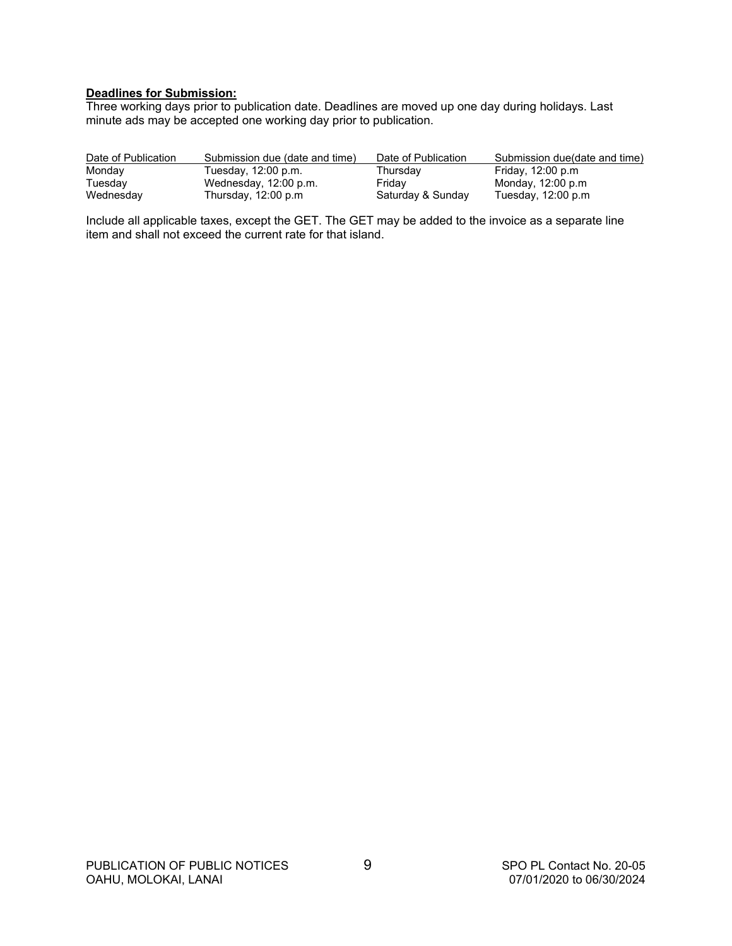#### **Deadlines for Submission:**

Three working days prior to publication date. Deadlines are moved up one day during holidays. Last minute ads may be accepted one working day prior to publication.

| Date of Publication | Submission due (date and time) | Date of Publication | Submission due(date and time) |
|---------------------|--------------------------------|---------------------|-------------------------------|
| Monday              | Tuesday, 12:00 p.m.            | Thursdav            | Friday, 12:00 p.m             |
| Tuesday             | Wednesday, 12:00 p.m.          | Fridav              | Monday, 12:00 p.m             |
| Wednesday           | Thursday, 12:00 p.m            | Saturday & Sunday   | Tuesday, 12:00 p.m            |

Include all applicable taxes, except the GET. The GET may be added to the invoice as a separate line item and shall not exceed the current rate for that island.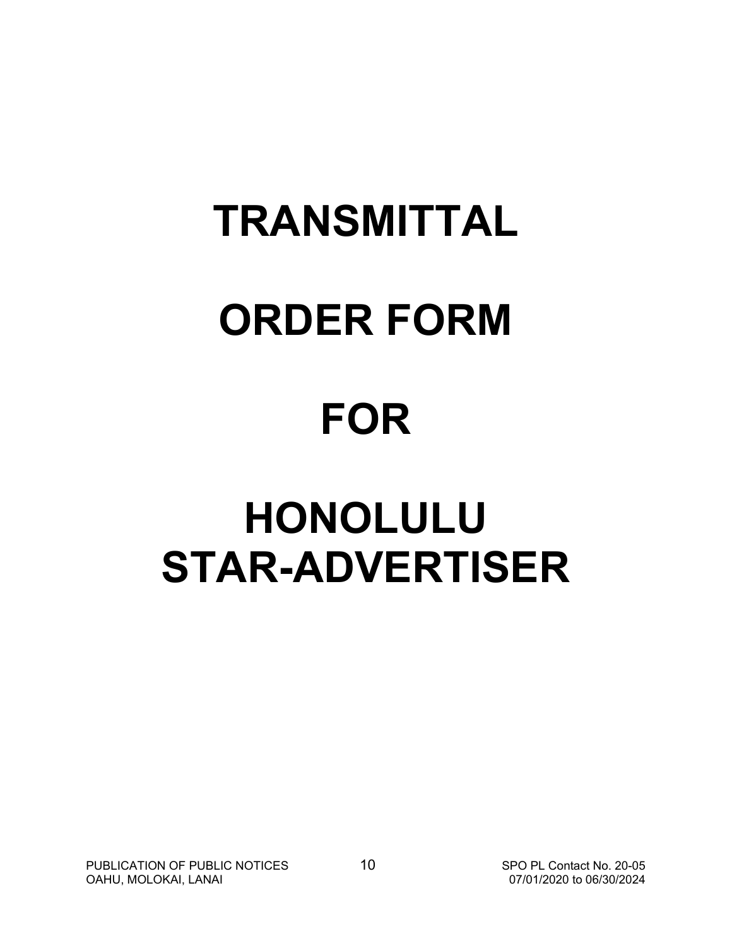# **TRANSMITTAL ORDER FORM**

# **FOR**

# **HONOLULU STAR-ADVERTISER**

PUBLICATION OF PUBLIC NOTICES 10 SPO PL Contact No. 20-05<br>10 SPO PL Contact No. 20-05<br>07/01/2020 to 06/30/2024 OAHU, MOLOKAI, LANAI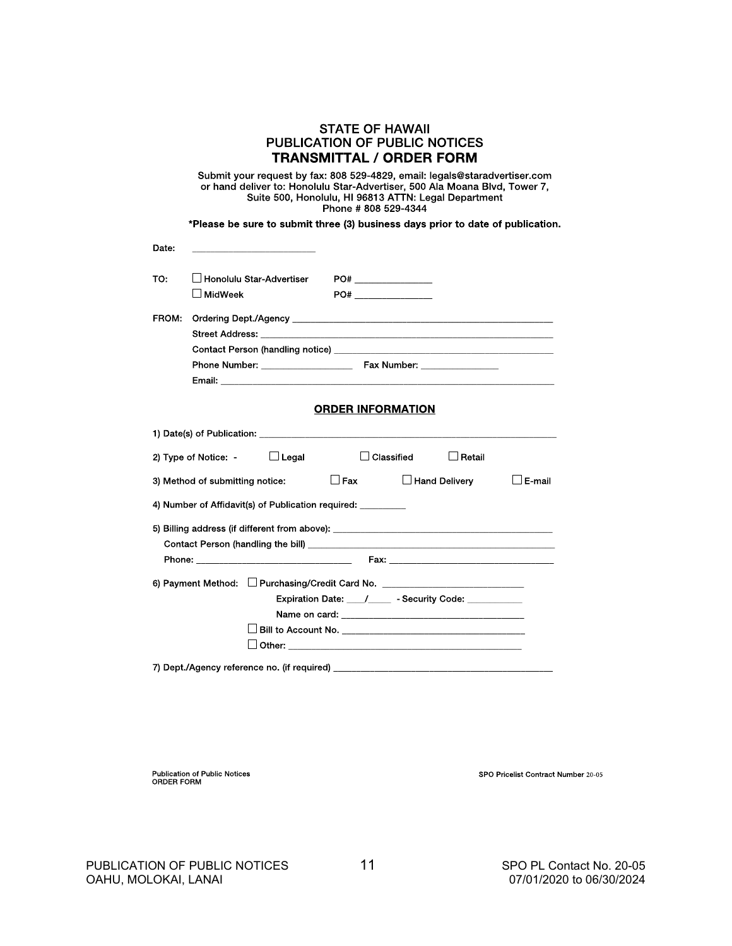|       | <b>STATE OF HAWAII</b>                                                                                                                                                                                                                  |  |  |  |  |
|-------|-----------------------------------------------------------------------------------------------------------------------------------------------------------------------------------------------------------------------------------------|--|--|--|--|
|       | <b>PUBLICATION OF PUBLIC NOTICES</b>                                                                                                                                                                                                    |  |  |  |  |
|       | TRANSMITTAL / ORDER FORM                                                                                                                                                                                                                |  |  |  |  |
|       | Submit your request by fax: 808 529-4829, email: legals@staradvertiser.com<br>or hand deliver to: Honolulu Star-Advertiser, 500 Ala Moana Blvd, Tower 7,<br>Suite 500, Honolulu, HI 96813 ATTN: Legal Department<br>Phone #808 529-4344 |  |  |  |  |
|       | *Please be sure to submit three (3) business days prior to date of publication.                                                                                                                                                         |  |  |  |  |
| Date: |                                                                                                                                                                                                                                         |  |  |  |  |
| TO:   | ⊿ Honolulu Star-Advertiser                                                                                                                                                                                                              |  |  |  |  |
|       | ∐ MidWeek<br>PO# PO#                                                                                                                                                                                                                    |  |  |  |  |
| FROM: | Ordering Dept./Agency and the control of the control of the control of the control of the control of the control of the control of the control of the control of the control of the control of the control of the control of t          |  |  |  |  |
|       |                                                                                                                                                                                                                                         |  |  |  |  |
|       |                                                                                                                                                                                                                                         |  |  |  |  |
|       | Email: Email: Email: Email: Email: Email: Email: Email: Email: Email: Email: Email: Email: Email: Email: Email: Email: Email: Email: Email: Email: Email: Email: Email: Email: Email: Email: Email: Email: Email: Email: Email          |  |  |  |  |
|       |                                                                                                                                                                                                                                         |  |  |  |  |
|       | <b>ORDER INFORMATION</b>                                                                                                                                                                                                                |  |  |  |  |
|       |                                                                                                                                                                                                                                         |  |  |  |  |
|       | $\Box$ Classified $\Box$ Retail<br>2) Type of Notice: $\Box$ Legal                                                                                                                                                                      |  |  |  |  |
|       | $\Box$ Fax<br>$\Box$ Hand Deliverv<br>$\Box$ E-mail<br>3) Method of submitting notice:                                                                                                                                                  |  |  |  |  |
|       | 4) Number of Affidavit(s) of Publication required:                                                                                                                                                                                      |  |  |  |  |
|       | 5) Billing address (if different from above): __________________________________                                                                                                                                                        |  |  |  |  |
|       |                                                                                                                                                                                                                                         |  |  |  |  |
|       |                                                                                                                                                                                                                                         |  |  |  |  |
|       | 6) Payment Method: Purchasing/Credit Card No. __________________________________                                                                                                                                                        |  |  |  |  |
|       |                                                                                                                                                                                                                                         |  |  |  |  |
|       |                                                                                                                                                                                                                                         |  |  |  |  |
|       |                                                                                                                                                                                                                                         |  |  |  |  |
|       | $\Box$ Other: $\Box$                                                                                                                                                                                                                    |  |  |  |  |
|       |                                                                                                                                                                                                                                         |  |  |  |  |

Publication of Public Notices<br>ORDER FORM

SPO Pricelist Contract Number 20-05